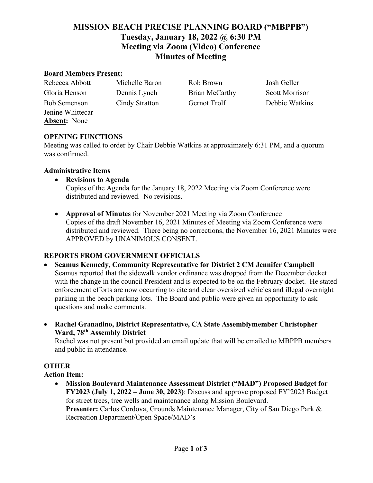# **MISSION BEACH PRECISE PLANNING BOARD ("MBPPB") Tuesday, January 18, 2022 @ 6:30 PM Meeting via Zoom (Video) Conference Minutes of Meeting**

#### **Board Members Present:**

| Rebecca Abbott      | Michelle Baron        | Rob Brown      | Josh Geller           |
|---------------------|-----------------------|----------------|-----------------------|
| Gloria Henson       | Dennis Lynch          | Brian McCarthy | <b>Scott Morrison</b> |
| <b>Bob Semenson</b> | <b>Cindy Stratton</b> | Gernot Trolf   | Debbie Watkins        |
| Jenine Whittecar    |                       |                |                       |
| <b>Absent:</b> None |                       |                |                       |

#### **OPENING FUNCTIONS**

Meeting was called to order by Chair Debbie Watkins at approximately 6:31 PM, and a quorum was confirmed.

#### **Administrative Items**

- **Revisions to Agenda**  Copies of the Agenda for the January 18, 2022 Meeting via Zoom Conference were distributed and reviewed. No revisions.
- **Approval of Minutes** for November 2021 Meeting via Zoom Conference Copies of the draft November 16, 2021 Minutes of Meeting via Zoom Conference were distributed and reviewed. There being no corrections, the November 16, 2021 Minutes were APPROVED by UNANIMOUS CONSENT.

#### **REPORTS FROM GOVERNMENT OFFICIALS**

- **Seamus Kennedy, Community Representative for District 2 CM Jennifer Campbell** Seamus reported that the sidewalk vendor ordinance was dropped from the December docket with the change in the council President and is expected to be on the February docket. He stated enforcement efforts are now occurring to cite and clear oversized vehicles and illegal overnight parking in the beach parking lots. The Board and public were given an opportunity to ask questions and make comments.
- **Rachel Granadino, District Representative, CA State Assemblymember Christopher Ward, 78th Assembly District**

Rachel was not present but provided an email update that will be emailed to MBPPB members and public in attendance.

#### **OTHER**

**Action Item:**

• **Mission Boulevard Maintenance Assessment District ("MAD") Proposed Budget for FY2023 (July 1, 2022 – June 30, 2023)**: Discuss and approve proposed FY'2023 Budget for street trees, tree wells and maintenance along Mission Boulevard. **Presenter:** Carlos Cordova, Grounds Maintenance Manager, City of San Diego Park & Recreation Department/Open Space/MAD's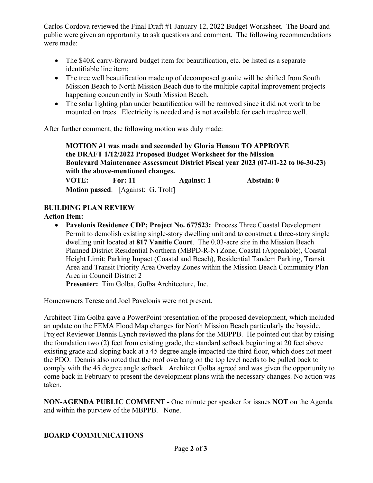Carlos Cordova reviewed the Final Draft #1 January 12, 2022 Budget Worksheet. The Board and public were given an opportunity to ask questions and comment. The following recommendations were made:

- The \$40K carry-forward budget item for beautification, etc. be listed as a separate identifiable line item;
- The tree well beautification made up of decomposed granite will be shifted from South Mission Beach to North Mission Beach due to the multiple capital improvement projects happening concurrently in South Mission Beach.
- The solar lighting plan under beautification will be removed since it did not work to be mounted on trees. Electricity is needed and is not available for each tree/tree well.

After further comment, the following motion was duly made:

**MOTION #1 was made and seconded by Gloria Henson TO APPROVE the DRAFT 1/12/2022 Proposed Budget Worksheet for the Mission Boulevard Maintenance Assessment District Fiscal year 2023 (07-01-22 to 06-30-23) with the above-mentioned changes.**

 **VOTE: For: 11 Against: 1 Abstain: 0 Motion passed**. [Against: G. Trolf]

## **BUILDING PLAN REVIEW**

**Action Item:** 

• **Pavelonis Residence CDP; Project No. 677523:** Process Three Coastal Development Permit to demolish existing single-story dwelling unit and to construct a three-story single dwelling unit located at **817 Vanitie Court**. The 0.03-acre site in the Mission Beach Planned District Residential Northern (MBPD-R-N) Zone, Coastal (Appealable), Coastal Height Limit; Parking Impact (Coastal and Beach), Residential Tandem Parking, Transit Area and Transit Priority Area Overlay Zones within the Mission Beach Community Plan Area in Council District 2

**Presenter:** Tim Golba, Golba Architecture, Inc.

Homeowners Terese and Joel Pavelonis were not present.

Architect Tim Golba gave a PowerPoint presentation of the proposed development, which included an update on the FEMA Flood Map changes for North Mission Beach particularly the bayside. Project Reviewer Dennis Lynch reviewed the plans for the MBPPB. He pointed out that by raising the foundation two (2) feet from existing grade, the standard setback beginning at 20 feet above existing grade and sloping back at a 45 degree angle impacted the third floor, which does not meet the PDO. Dennis also noted that the roof overhang on the top level needs to be pulled back to comply with the 45 degree angle setback. Architect Golba agreed and was given the opportunity to come back in February to present the development plans with the necessary changes. No action was taken.

**NON-AGENDA PUBLIC COMMENT -** One minute per speaker for issues **NOT** on the Agenda and within the purview of the MBPPB. None.

### **BOARD COMMUNICATIONS**